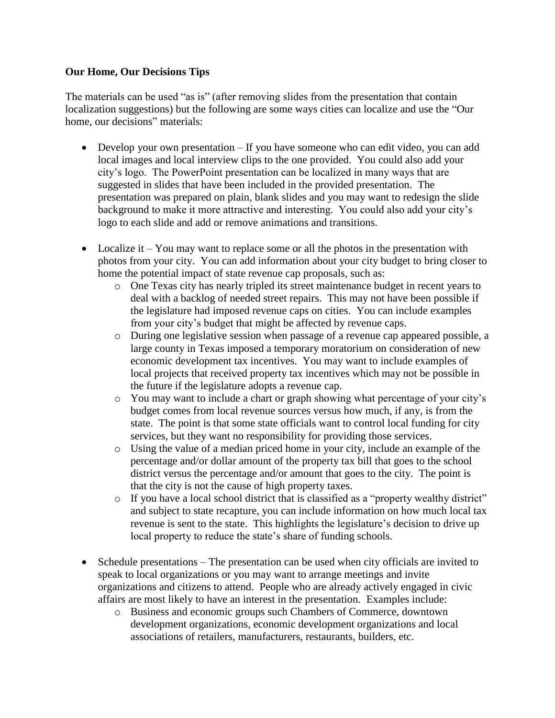## **Our Home, Our Decisions Tips**

The materials can be used "as is" (after removing slides from the presentation that contain localization suggestions) but the following are some ways cities can localize and use the "Our home, our decisions" materials:

- Develop your own presentation If you have someone who can edit video, you can add local images and local interview clips to the one provided. You could also add your city's logo. The PowerPoint presentation can be localized in many ways that are suggested in slides that have been included in the provided presentation. The presentation was prepared on plain, blank slides and you may want to redesign the slide background to make it more attractive and interesting. You could also add your city's logo to each slide and add or remove animations and transitions.
- Localize it You may want to replace some or all the photos in the presentation with photos from your city. You can add information about your city budget to bring closer to home the potential impact of state revenue cap proposals, such as:
	- o One Texas city has nearly tripled its street maintenance budget in recent years to deal with a backlog of needed street repairs. This may not have been possible if the legislature had imposed revenue caps on cities. You can include examples from your city's budget that might be affected by revenue caps.
	- o During one legislative session when passage of a revenue cap appeared possible, a large county in Texas imposed a temporary moratorium on consideration of new economic development tax incentives. You may want to include examples of local projects that received property tax incentives which may not be possible in the future if the legislature adopts a revenue cap.
	- o You may want to include a chart or graph showing what percentage of your city's budget comes from local revenue sources versus how much, if any, is from the state. The point is that some state officials want to control local funding for city services, but they want no responsibility for providing those services.
	- o Using the value of a median priced home in your city, include an example of the percentage and/or dollar amount of the property tax bill that goes to the school district versus the percentage and/or amount that goes to the city. The point is that the city is not the cause of high property taxes.
	- o If you have a local school district that is classified as a "property wealthy district" and subject to state recapture, you can include information on how much local tax revenue is sent to the state. This highlights the legislature's decision to drive up local property to reduce the state's share of funding schools.
- Schedule presentations The presentation can be used when city officials are invited to speak to local organizations or you may want to arrange meetings and invite organizations and citizens to attend. People who are already actively engaged in civic affairs are most likely to have an interest in the presentation. Examples include:
	- o Business and economic groups such Chambers of Commerce, downtown development organizations, economic development organizations and local associations of retailers, manufacturers, restaurants, builders, etc.